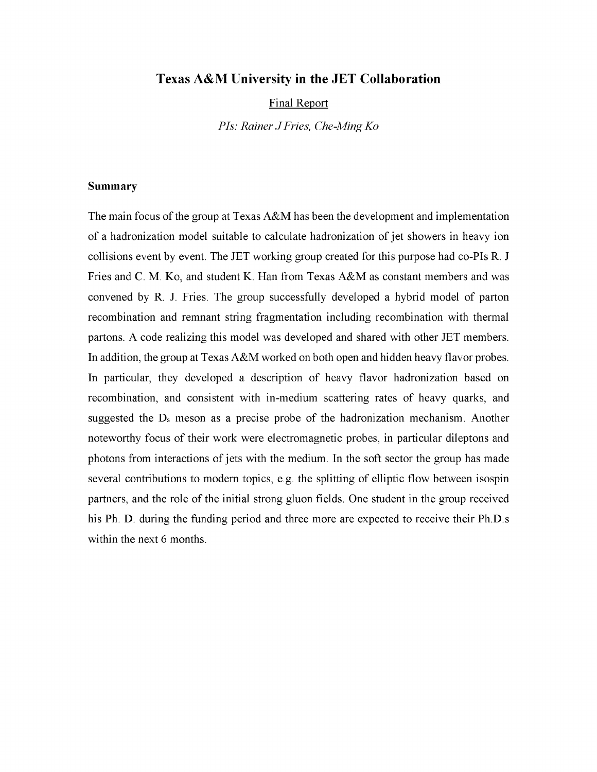# **Texas A&M University in the JET Collaboration**

Final Report

*PIs: Rainer JFries, Che-MingKo*

### **Summary**

The main focus of the group at Texas  $A\&M$  has been the development and implementation of a hadronization model suitable to calculate hadronization of jet showers in heavy ion collisions event by event. The JET working group created for this purpose had co-PIs R. J Fries and C. M. Ko, and student K. Han from Texas A&M as constant members and was convened by R. J. Fries. The group successfully developed a hybrid model of parton recombination and remnant string fragmentation including recombination with thermal partons. A code realizing this model was developed and shared with other JET members. In addition, the group at Texas A&M worked on both open and hidden heavy flavor probes. In particular, they developed a description of heavy flavor hadronization based on recombination, and consistent with in-medium scattering rates of heavy quarks, and suggested the Ds meson as a precise probe of the hadronization mechanism. Another noteworthy focus of their work were electromagnetic probes, in particular dileptons and photons from interactions of jets with the medium. In the soft sector the group has made several contributions to modern topics, e.g. the splitting of elliptic flow between isospin partners, and the role of the initial strong gluon fields. One student in the group received his Ph. D. during the funding period and three more are expected to receive their Ph.D.s within the next 6 months.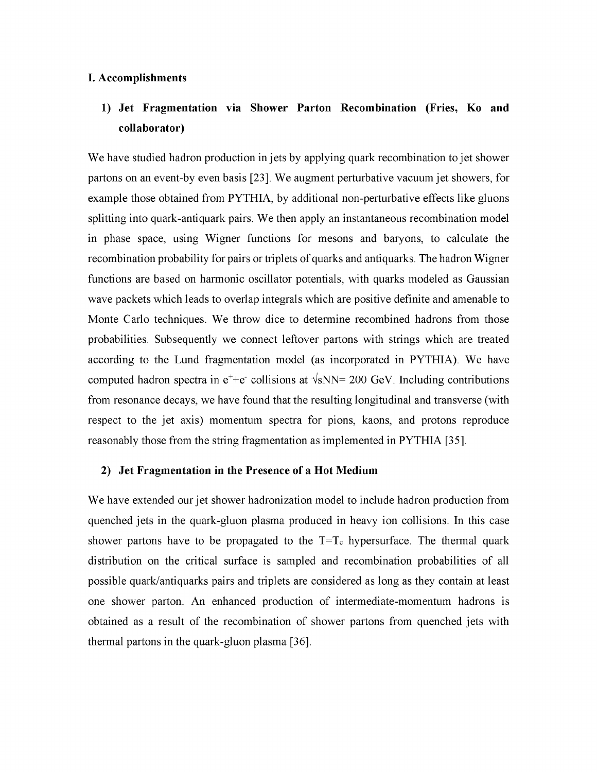### **I. Accomplishments**

# **1) Jet Fragmentation via Shower Parton Recombination (Fries, Ko and collaborator)**

We have studied hadron production in jets by applying quark recombination to jet shower partons on an event-by even basis [23]. We augment perturbative vacuum jet showers, for example those obtained from PYTHIA, by additional non-perturbative effects like gluons splitting into quark-antiquark pairs. We then apply an instantaneous recombination model in phase space, using Wigner functions for mesons and baryons, to calculate the recombination probability for pairs or triplets of quarks and antiquarks. The hadron Wigner functions are based on harmonic oscillator potentials, with quarks modeled as Gaussian wave packets which leads to overlap integrals which are positive definite and amenable to Monte Carlo techniques. We throw dice to determine recombined hadrons from those probabilities. Subsequently we connect leftover partons with strings which are treated according to the Lund fragmentation model (as incorporated in PYTHIA). We have computed hadron spectra in  $e^+ + e^-$  collisions at  $\sqrt{s}NN = 200$  GeV. Including contributions from resonance decays, we have found that the resulting longitudinal and transverse (with respect to the jet axis) momentum spectra for pions, kaons, and protons reproduce reasonably those from the string fragmentation as implemented in PYTHIA [35].

### **2) Jet Fragmentation in the Presence of a Hot Medium**

We have extended our jet shower hadronization model to include hadron production from quenched jets in the quark-gluon plasma produced in heavy ion collisions. In this case shower partons have to be propagated to the  $T=T_c$  hypersurface. The thermal quark distribution on the critical surface is sampled and recombination probabilities of all possible quark/antiquarks pairs and triplets are considered as long as they contain at least one shower parton. An enhanced production of intermediate-momentum hadrons is obtained as a result of the recombination of shower partons from quenched jets with thermal partons in the quark-gluon plasma [36].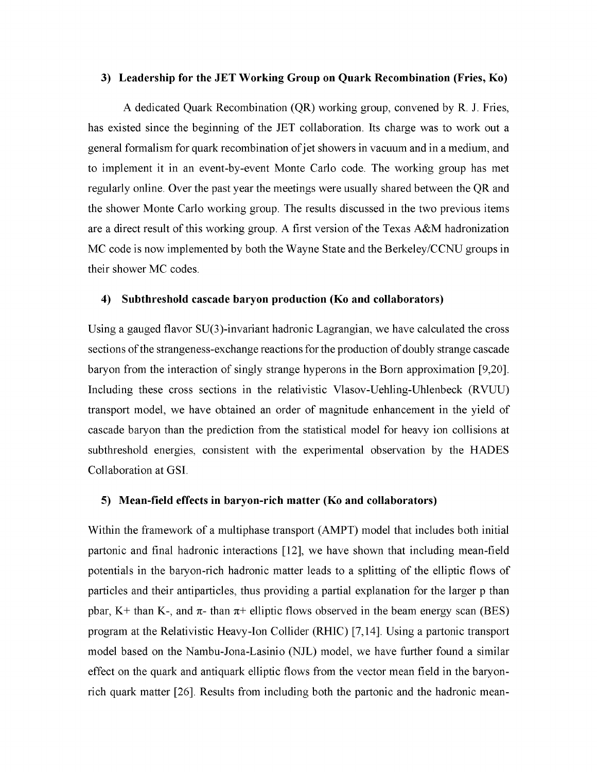#### **3) Leadership for the JET Working Group on Quark Recombination (Fries, Ko)**

A dedicated Quark Recombination (QR) working group, convened by R. J. Fries, has existed since the beginning of the JET collaboration. Its charge was to work out a general formalism for quark recombination of jet showers in vacuum and in a medium, and to implement it in an event-by-event Monte Carlo code. The working group has met regularly online. Over the past year the meetings were usually shared between the QR and the shower Monte Carlo working group. The results discussed in the two previous items are a direct result of this working group. A first version of the Texas A&M hadronization MC code is now implemented by both the Wayne State and the Berkeley/CCNU groups in their shower MC codes.

## **4) Subthreshold cascade baryon production (Ko and collaborators)**

Using a gauged flavor SU(3)-invariant hadronic Lagrangian, we have calculated the cross sections of the strangeness-exchange reactions for the production of doubly strange cascade baryon from the interaction of singly strange hyperons in the Born approximation [9,20]. Including these cross sections in the relativistic Vlasov-Uehling-Uhlenbeck (RVUU) transport model, we have obtained an order of magnitude enhancement in the yield of cascade baryon than the prediction from the statistical model for heavy ion collisions at subthreshold energies, consistent with the experimental observation by the HADES Collaboration at GSI.

#### **5) Mean-field effects in baryon-rich matter (Ko and collaborators)**

Within the framework of a multiphase transport (AMPT) model that includes both initial partonic and final hadronic interactions [12], we have shown that including mean-field potentials in the baryon-rich hadronic matter leads to a splitting of the elliptic flows of particles and their antiparticles, thus providing a partial explanation for the larger p than pbar, K+ than K-, and  $\pi$ - than  $\pi$ + elliptic flows observed in the beam energy scan (BES) program at the Relativistic Heavy-Ion Collider (RHIC) [7,14]. Using a partonic transport model based on the Nambu-Jona-Lasinio (NJL) model, we have further found a similar effect on the quark and antiquark elliptic flows from the vector mean field in the baryonrich quark matter [26]. Results from including both the partonic and the hadronic mean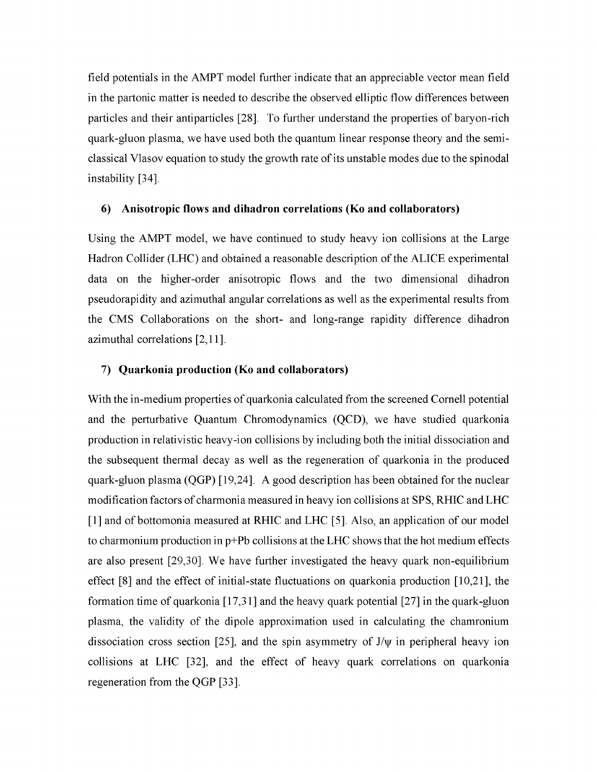field potentials in the AMPT model further indicate that an appreciable vector mean field in the partonic matter is needed to describe the observed elliptic flow differences between particles and their antiparticles [28]. To further understand the properties of baryon-rich quark-gluon plasma, we have used both the quantum linear response theory and the semiclassical Vlasov equation to study the growth rate of its unstable modes due to the spinodal instability [34].

# **6) Anisotropic flows and dihadron correlations (Ko and collaborators)**

Using the AMPT model, we have continued to study heavy ion collisions at the Large Hadron Collider (LHC) and obtained a reasonable description of the ALICE experimental data on the higher-order anisotropic flows and the two dimensional dihadron pseudorapidity and azimuthal angular correlations as well as the experimental results from the CMS Collaborations on the short- and long-range rapidity difference dihadron azimuthal correlations [2,11].

# **7) Quarkonia production (Ko and collaborators)**

With the in-medium properties of quarkonia calculated from the screened Cornell potential and the perturbative Quantum Chromodynamics (QCD), we have studied quarkonia production in relativistic heavy-ion collisions by including both the initial dissociation and the subsequent thermal decay as well as the regeneration of quarkonia in the produced quark-gluon plasma (QGP) [19,24]. A good description has been obtained for the nuclear modification factors of charmonia measured in heavy ion collisions at SPS, RHIC and LHC [1] and of bottomonia measured at RHIC and LHC [5]. Also, an application of our model to charmonium production in  $p+Pb$  collisions at the LHC shows that the hot medium effects are also present [29,30]. We have further investigated the heavy quark non-equilibrium effect [8] and the effect of initial-state fluctuations on quarkonia production [10,21], the formation time of quarkonia [17,31] and the heavy quark potential [27] in the quark-gluon plasma, the validity of the dipole approximation used in calculating the chamronium dissociation cross section [25], and the spin asymmetry of  $J/\psi$  in peripheral heavy ion collisions at LHC [32], and the effect of heavy quark correlations on quarkonia regeneration from the QGP [33].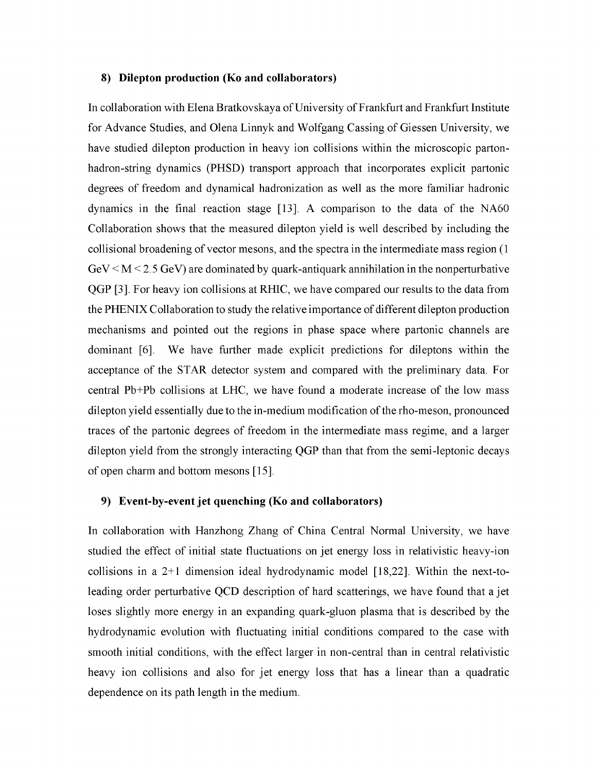#### **8) Dilepton production (Ko and collaborators)**

In collaboration with Elena Bratkovskaya of University of Frankfurt and Frankfurt Institute for Advance Studies, and Olena Linnyk and Wolfgang Cassing of Giessen University, we have studied dilepton production in heavy ion collisions within the microscopic partonhadron-string dynamics (PHSD) transport approach that incorporates explicit partonic degrees of freedom and dynamical hadronization as well as the more familiar hadronic dynamics in the final reaction stage [13]. A comparison to the data of the NA60 Collaboration shows that the measured dilepton yield is well described by including the collisional broadening of vector mesons, and the spectra in the intermediate mass region (1)  $GeV < M < 2.5$  GeV) are dominated by quark-antiquark annihilation in the nonperturbative QGP [3]. For heavy ion collisions at RHIC, we have compared our results to the data from the PHENIX Collaboration to study the relative importance of different dilepton production mechanisms and pointed out the regions in phase space where partonic channels are dominant [6]. We have further made explicit predictions for dileptons within the acceptance of the STAR detector system and compared with the preliminary data. For central Pb+Pb collisions at LHC, we have found a moderate increase of the low mass dilepton yield essentially due to the in-medium modification of the rho-meson, pronounced traces of the partonic degrees of freedom in the intermediate mass regime, and a larger dilepton yield from the strongly interacting QGP than that from the semi-leptonic decays of open charm and bottom mesons [15].

# **9) Event-by-event jet quenching (Ko and collaborators)**

In collaboration with Hanzhong Zhang of China Central Normal University, we have studied the effect of initial state fluctuations on jet energy loss in relativistic heavy-ion collisions in a  $2+1$  dimension ideal hydrodynamic model [18,22]. Within the next-toleading order perturbative QCD description of hard scatterings, we have found that a jet loses slightly more energy in an expanding quark-gluon plasma that is described by the hydrodynamic evolution with fluctuating initial conditions compared to the case with smooth initial conditions, with the effect larger in non-central than in central relativistic heavy ion collisions and also for jet energy loss that has a linear than a quadratic dependence on its path length in the medium.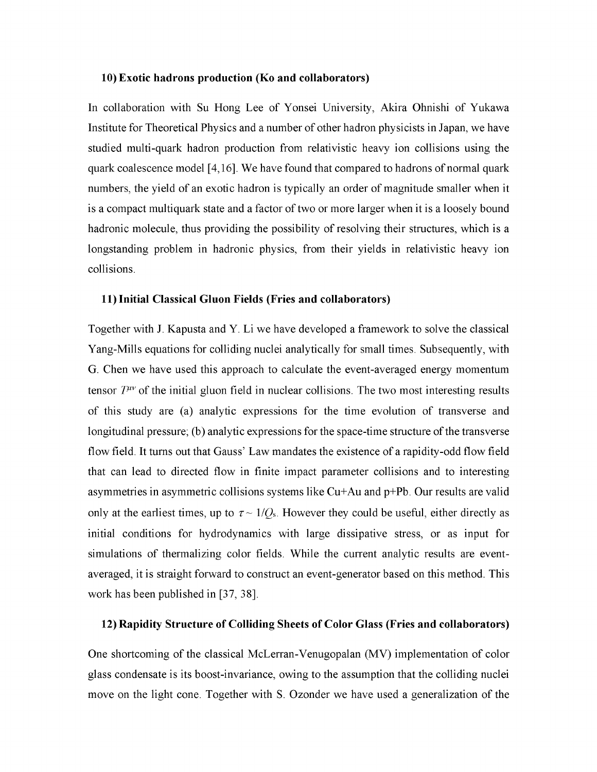#### **10) Exotic hadrons production (Ko and collaborators)**

In collaboration with Su Hong Lee of Yonsei University, Akira Ohnishi of Yukawa Institute for Theoretical Physics and a number of other hadron physicists in Japan, we have studied multi-quark hadron production from relativistic heavy ion collisions using the quark coalescence model [4,16]. We have found that compared to hadrons ofnormal quark numbers, the yield of an exotic hadron is typically an order of magnitude smaller when it is a compact multiquark state and a factor of two or more larger when it is a loosely bound hadronic molecule, thus providing the possibility of resolving their structures, which is a longstanding problem in hadronic physics, from their yields in relativistic heavy ion collisions.

#### **11) Initial Classical Gluon Fields (Fries and collaborators)**

Together with J. Kapusta and Y. Li we have developed a framework to solve the classical Yang-Mills equations for colliding nuclei analytically for small times. Subsequently, with G. Chen we have used this approach to calculate the event-averaged energy momentum tensor  $T^{\mu\nu}$  of the initial gluon field in nuclear collisions. The two most interesting results of this study are (a) analytic expressions for the time evolution of transverse and longitudinal pressure; (b) analytic expressions for the space-time structure of the transverse flow field. It turns out that Gauss' Law mandates the existence of a rapidity-odd flow field that can lead to directed flow in finite impact parameter collisions and to interesting asymmetries in asymmetric collisions systems like Cu+Au and p+Pb. Our results are valid only at the earliest times, up to  $\tau \sim 1/Q_s$ . However they could be useful, either directly as initial conditions for hydrodynamics with large dissipative stress, or as input for simulations of thermalizing color fields. While the current analytic results are eventaveraged, it is straight forward to construct an event-generator based on this method. This work has been published in [37, 38].

### **12) Rapidity Structure of Colliding Sheets of Color Glass (Fries and collaborators)**

One shortcoming of the classical McLerran-Venugopalan (MV) implementation of color glass condensate is its boost-invariance, owing to the assumption that the colliding nuclei move on the light cone. Together with S. Ozonder we have used a generalization of the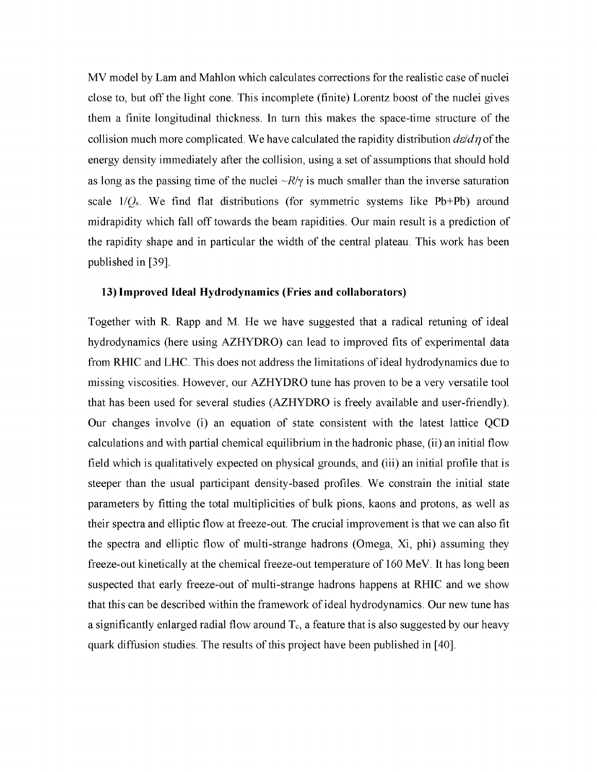MV model by Lam and Mahlon which calculates corrections for the realistic case of nuclei close to, but off the light cone. This incomplete (finite) Lorentz boost of the nuclei gives them a finite longitudinal thickness. In turn this makes the space-time structure of the collision much more complicated. We have calculated the rapidity distribution  $\frac{d\epsilon}{d\eta}$  of the energy density immediately after the collision, using a set of assumptions that should hold as long as the passing time of the nuclei  $-R/\gamma$  is much smaller than the inverse saturation scale  $1/Q_s$ . We find flat distributions (for symmetric systems like Pb+Pb) around midrapidity which fall off towards the beam rapidities. Our main result is a prediction of the rapidity shape and in particular the width of the central plateau. This work has been published in [39].

### **13) Improved Ideal Hydrodynamics (Fries and collaborators)**

Together with R. Rapp and M. He we have suggested that a radical retuning of ideal hydrodynamics (here using AZHYDRO) can lead to improved fits of experimental data from RHIC and LHC. This does not address the limitations of ideal hydrodynamics due to missing viscosities. However, our AZHYDRO tune has proven to be a very versatile tool that has been used for several studies (AZHYDRO is freely available and user-friendly). Our changes involve (i) an equation of state consistent with the latest lattice QCD calculations and with partial chemical equilibrium in the hadronic phase, (ii) an initial flow field which is qualitatively expected on physical grounds, and (iii) an initial profile that is steeper than the usual participant density-based profiles. We constrain the initial state parameters by fitting the total multiplicities of bulk pions, kaons and protons, as well as their spectra and elliptic flow at freeze-out. The crucial improvement is that we can also fit the spectra and elliptic flow of multi-strange hadrons (Omega, Xi, phi) assuming they freeze-out kinetically at the chemical freeze-out temperature of 160 MeV. It has long been suspected that early freeze-out of multi-strange hadrons happens at RHIC and we show that this can be described within the framework of ideal hydrodynamics. Our new tune has a significantly enlarged radial flow around  $T_c$ , a feature that is also suggested by our heavy quark diffusion studies. The results of this project have been published in [40].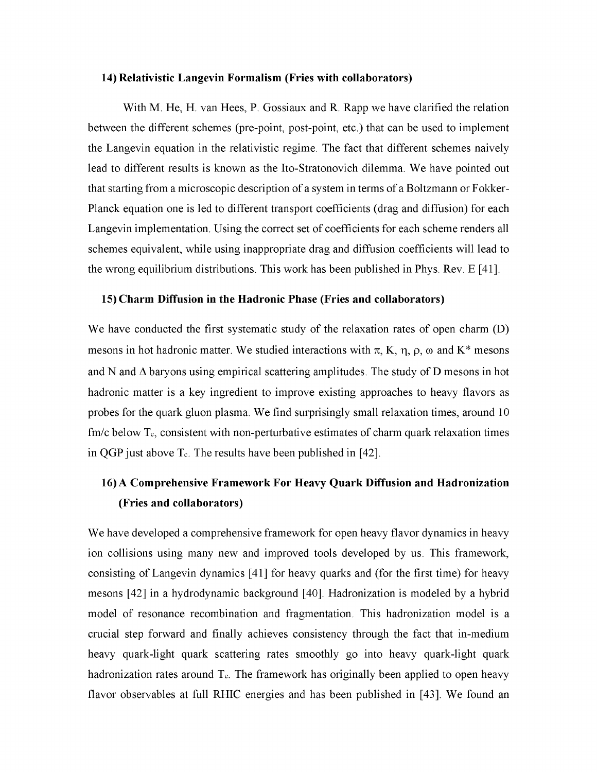#### **14) Relativistic Langevin Formalism (Fries with collaborators)**

With M. He, H. van Hees, P. Gossiaux and R. Rapp we have clarified the relation between the different schemes (pre-point, post-point, etc.) that can be used to implement the Langevin equation in the relativistic regime. The fact that different schemes naively lead to different results is known as the Ito-Stratonovich dilemma. We have pointed out that starting from a microscopic description of a system in terms of a Boltzmann or Fokker-Planck equation one is led to different transport coefficients (drag and diffusion) for each Langevin implementation. Using the correct set of coefficients for each scheme renders all schemes equivalent, while using inappropriate drag and diffusion coefficients will lead to the wrong equilibrium distributions. This work has been published in Phys. Rev. E [41].

# **15) Charm Diffusion in the Hadronic Phase (Fries and collaborators)**

We have conducted the first systematic study of the relaxation rates of open charm (D) mesons in hot hadronic matter. We studied interactions with  $\pi$ , K,  $\eta$ ,  $\rho$ ,  $\omega$  and K\* mesons and N and  $\Delta$  baryons using empirical scattering amplitudes. The study of D mesons in hot hadronic matter is a key ingredient to improve existing approaches to heavy flavors as probes for the quark gluon plasma. We find surprisingly small relaxation times, around 10  $\text{fm/c}$  below  $\text{T}_c$ , consistent with non-perturbative estimates of charm quark relaxation times in QGP just above  $T_c$ . The results have been published in [42].

# **16) A Comprehensive Framework For Heavy Quark Diffusion and Hadronization (Fries and collaborators)**

We have developed a comprehensive framework for open heavy flavor dynamics in heavy ion collisions using many new and improved tools developed by us. This framework, consisting of Langevin dynamics [41] for heavy quarks and (for the first time) for heavy mesons [42] in a hydrodynamic background [40]. Hadronization is modeled by a hybrid model of resonance recombination and fragmentation. This hadronization model is a crucial step forward and finally achieves consistency through the fact that in-medium heavy quark-light quark scattering rates smoothly go into heavy quark-light quark hadronization rates around  $T_c$ . The framework has originally been applied to open heavy flavor observables at full RHIC energies and has been published in [43]. We found an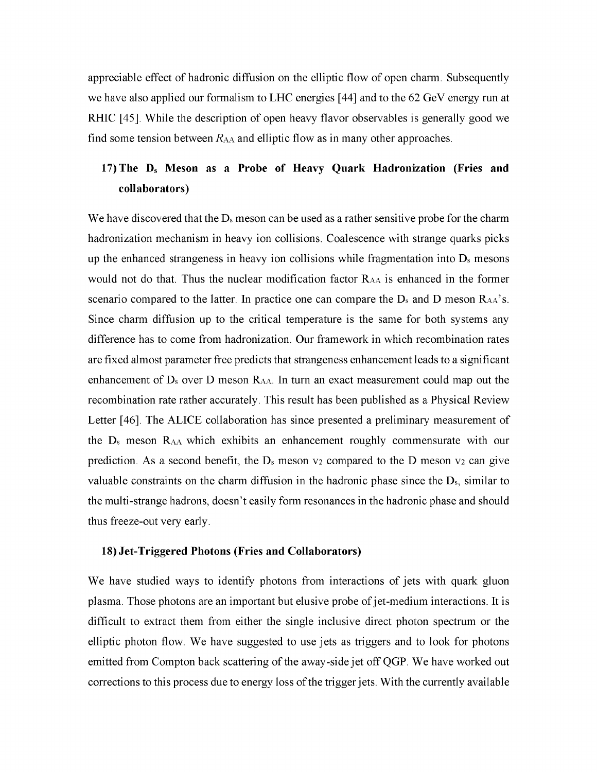appreciable effect of hadronic diffusion on the elliptic flow of open charm. Subsequently we have also applied our formalism to LHC energies [44] and to the 62 GeV energy run at RHIC [45]. While the description of open heavy flavor observables is generally good we find some tension between  $R_{AA}$  and elliptic flow as in many other approaches.

# **17) The Ds Meson as a Probe of Heavy Quark Hadronization (Fries and collaborators)**

We have discovered that the  $D_s$  meson can be used as a rather sensitive probe for the charm hadronization mechanism in heavy ion collisions. Coalescence with strange quarks picks up the enhanced strangeness in heavy ion collisions while fragmentation into  $D<sub>s</sub>$  mesons would not do that. Thus the nuclear modification factor Raa is enhanced in the former scenario compared to the latter. In practice one can compare the  $D_s$  and  $D$  meson  $R_{AA}$ 's. Since charm diffusion up to the critical temperature is the same for both systems any difference has to come from hadronization. Our framework in which recombination rates are fixed almost parameter free predicts that strangeness enhancement leads to a significant enhancement of D<sup>s</sup> over D meson Raa. In turn an exact measurement could map out the recombination rate rather accurately. This result has been published as a Physical Review Letter [46]. The ALICE collaboration has since presented a preliminary measurement of the D<sup>s</sup> meson Raa which exhibits an enhancement roughly commensurate with our prediction. As a second benefit, the  $D_s$  meson  $v_2$  compared to the D meson  $v_2$  can give valuable constraints on the charm diffusion in the hadronic phase since the  $D_s$ , similar to the multi-strange hadrons, doesn't easily form resonances in the hadronic phase and should thus freeze-out very early.

#### **18) Jet-Triggered Photons (Fries and Collaborators)**

We have studied ways to identify photons from interactions of jets with quark gluon plasma. Those photons are an important but elusive probe of jet-medium interactions. It is difficult to extract them from either the single inclusive direct photon spectrum or the elliptic photon flow. We have suggested to use jets as triggers and to look for photons emitted from Compton back scattering of the away-side jet off QGP. We have worked out corrections to this process due to energy loss of the trigger jets. With the currently available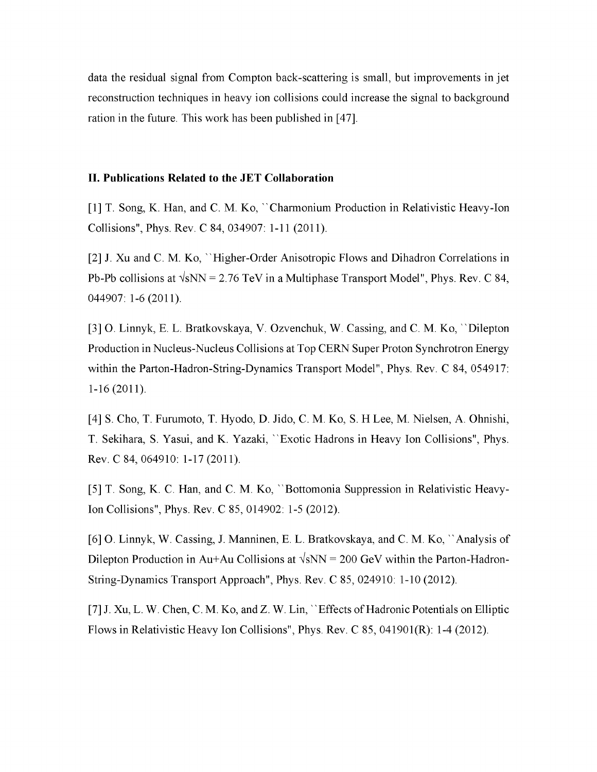data the residual signal from Compton back-scattering is small, but improvements in jet reconstruction techniques in heavy ion collisions could increase the signal to background ration in the future. This work has been published in [47].

### **II. Publications Related to the JET Collaboration**

[1] T. Song, K. Han, and C. M. Ko, ''Charmonium Production in Relativistic Heavy-Ion Collisions", Phys. Rev. C 84, 034907: 1-11 (2011).

[2] J. Xu and C. M. Ko, ''Higher-Order Anisotropic Flows and Dihadron Correlations in Pb-Pb collisions at  $\sqrt{sNN}$  = 2.76 TeV in a Multiphase Transport Model", Phys. Rev. C 84, 044907: 1-6 (2011).

[3] O. Linnyk, E. L. Bratkovskaya, V. Ozvenchuk, W. Cassing, and C. M. Ko, ''Dilepton Production in Nucleus-Nucleus Collisions at Top CERN Super Proton Synchrotron Energy within the Parton-Hadron-String-Dynamics Transport Model", Phys. Rev. C 84, 054917: 1-16 (2011).

[4] S. Cho, T. Furumoto, T. Hyodo, D. Jido, C. M. Ko, S. H Lee, M. Nielsen, A. Ohnishi, T. Sekihara, S. Yasui, and K. Yazaki, ''Exotic Hadrons in Heavy Ion Collisions", Phys. Rev. C 84, 064910: 1-17 (2011).

[5] T. Song, K. C. Han, and C. M. Ko, ''Bottomonia Suppression in Relativistic Heavy-Ion Collisions", Phys. Rev. C 85, 014902: 1-5 (2012).

[6] O. Linnyk, W. Cassing, J. Manninen, E. L. Bratkovskaya, and C. M. Ko, ''Analysis of Dilepton Production in Au+Au Collisions at  $\sqrt{sNN}$  = 200 GeV within the Parton-Hadron-String-Dynamics Transport Approach", Phys. Rev. C 85, 024910: 1-10 (2012).

[7] J. Xu, L. W. Chen, C. M. Ko, and Z. W. Lin, "Effects of Hadronic Potentials on Elliptic Flows in Relativistic Heavy Ion Collisions", Phys. Rev. C 85, 041901(R): 1-4 (2012).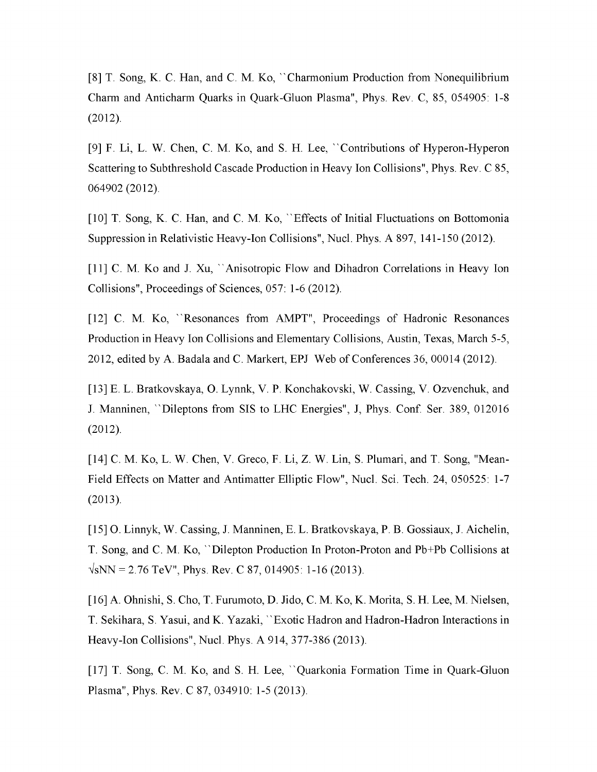[8] T. Song, K. C. Han, and C. M. Ko, ''Charmonium Production from Nonequilibrium Charm and Anticharm Quarks in Quark-Gluon Plasma", Phys. Rev. C, 85, 054905: 1-8 (2012).

[9] F. Li, L. W. Chen, C. M. Ko, and S. H. Lee, ''Contributions of Hyperon-Hyperon Scattering to Subthreshold Cascade Production in Heavy Ion Collisions", Phys. Rev. C 85, 064902 (2012).

[10] T. Song, K. C. Han, and C. M. Ko, "Effects of Initial Fluctuations on Bottomonia Suppression in Relativistic Heavy-Ion Collisions", Nucl. Phys. A 897, 141-150 (2012).

[11] C. M. Ko and J. Xu, "Anisotropic Flow and Dihadron Correlations in Heavy Ion Collisions", Proceedings of Sciences, 057: 1-6 (2012).

[12] C. M. Ko, ''Resonances from AMPT", Proceedings of Hadronic Resonances Production in Heavy Ion Collisions and Elementary Collisions, Austin, Texas, March 5-5, 2012, edited by A. Badala and C. Markert, EPJ Web of Conferences 36, 00014 (2012).

[13] E. L. Bratkovskaya, O. Lynnk, V. P. Konchakovski, W. Cassing, V. Ozvenchuk, and J. Manninen, ''Dileptons from SIS to LHC Energies", J, Phys. Conf. Ser. 389, 012016 (2012).

[14] C. M. Ko, L. W. Chen, V. Greco, F. Li, Z. W. Lin, S. Plumari, and T. Song, "Mean-Field Effects on Matter and Antimatter Elliptic Flow", Nucl. Sci. Tech. 24, 050525: 1-7 (2013).

[15] O. Linnyk, W. Cassing, J. Manninen, E. L. Bratkovskaya, P. B. Gossiaux, J. Aichelin, T. Song, and C. M. Ko, ''Dilepton Production In Proton-Proton and Pb+Pb Collisions at  $\sqrt{s}NN = 2.76$  TeV", Phys. Rev. C 87, 014905: 1-16 (2013).

[16] A. Ohnishi, S. Cho, T. Furumoto, D. Jido, C. M. Ko, K. Morita, S. H. Lee, M. Nielsen, T. Sekihara, S. Yasui, and K. Yazaki, ''Exotic Hadron and Hadron-Hadron Interactions in Heavy-Ion Collisions", Nucl. Phys. A 914, 377-386 (2013).

[17] T. Song, C. M. Ko, and S. H. Lee, ''Quarkonia Formation Time in Quark-Gluon Plasma", Phys. Rev. C 87, 034910: 1-5 (2013).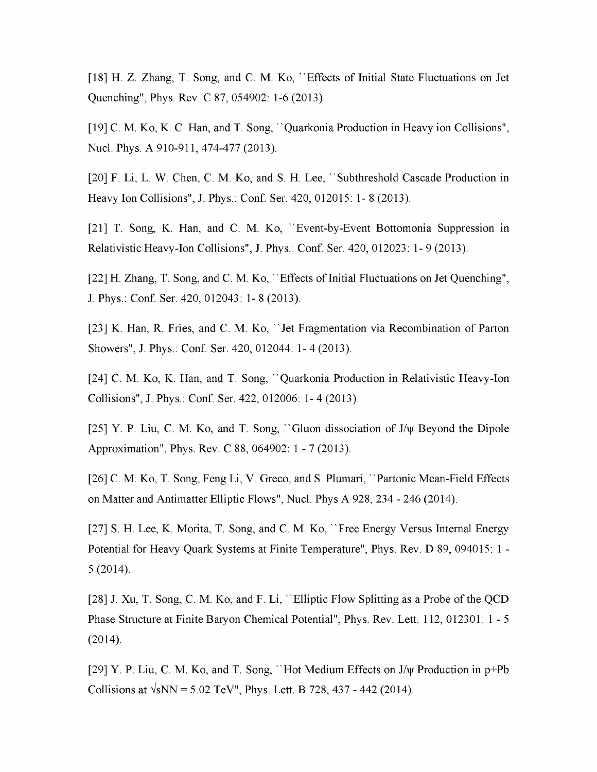[18] H. Z. Zhang, T. Song, and C. M. Ko, "Effects of Initial State Fluctuations on Jet Quenching", Phys. Rev. C 87, 054902: 1-6 (2013).

[19] C. M. Ko, K. C. Han, and T. Song, "Quarkonia Production in Heavy ion Collisions", Nucl. Phys. A 910-911, 474-477 (2013).

[20] F. Li, L. W. Chen, C. M. Ko, and S. H. Lee, '' Subthreshold Cascade Production in Heavy Ion Collisions", J. Phys.: Conf. Ser. 420, 012015: 1- 8 (2013).

[21] T. Song, K. Han, and C. M. Ko, ''Event-by-Event Bottomonia Suppression in Relativistic Heavy-Ion Collisions", J. Phys.: Conf. Ser. 420, 012023: 1- 9 (2013).

[22] H. Zhang, T. Song, and C. M. Ko, "Effects of Initial Fluctuations on Jet Quenching", J. Phys.: Conf. Ser. 420, 012043: 1- 8 (2013).

[23] K. Han, R. Fries, and C. M. Ko, ''Jet Fragmentation via Recombination of Parton Showers", J. Phys.: Conf. Ser. 420, 012044: 1- 4 (2013).

[24] C. M. Ko, K. Han, and T. Song, ''Quarkonia Production in Relativistic Heavy-Ion Collisions", J. Phys.: Conf. Ser. 422, 012006: 1- 4 (2013).

[25] Y. P. Liu, C. M. Ko, and T. Song, ''Gluon dissociation of J/y Beyond the Dipole Approximation", Phys. Rev. C 88, 064902: <sup>1</sup> - 7 (2013).

[26] C. M. Ko, T. Song, Feng Li, V. Greco, and S. Plumari, ''Partonic Mean-Field Effects on Matter and Antimatter Elliptic Flows", Nucl. Phys A 928, 234 - 246 (2014).

[27] S. H. Lee, K. Morita, T. Song, and C. M. Ko, ''Free Energy Versus Internal Energy Potential for Heavy Quark Systems at Finite Temperature", Phys. Rev. D 89, 094015: <sup>1</sup> - 5 (2014).

[28] J. Xu, T. Song, C. M. Ko, and F. Li, ''Elliptic Flow Splitting as a Probe ofthe QCD Phase Structure at Finite Baryon Chemical Potential", Phys. Rev. Lett. 112, 012301: <sup>1</sup> - 5 (2014).

[29] Y. P. Liu, C. M. Ko, and T. Song, "Hot Medium Effects on  $J/\psi$  Production in  $p+Pb$ Collisions at  $\sqrt{sNN}$  = 5.02 TeV", Phys. Lett. B 728, 437 - 442 (2014).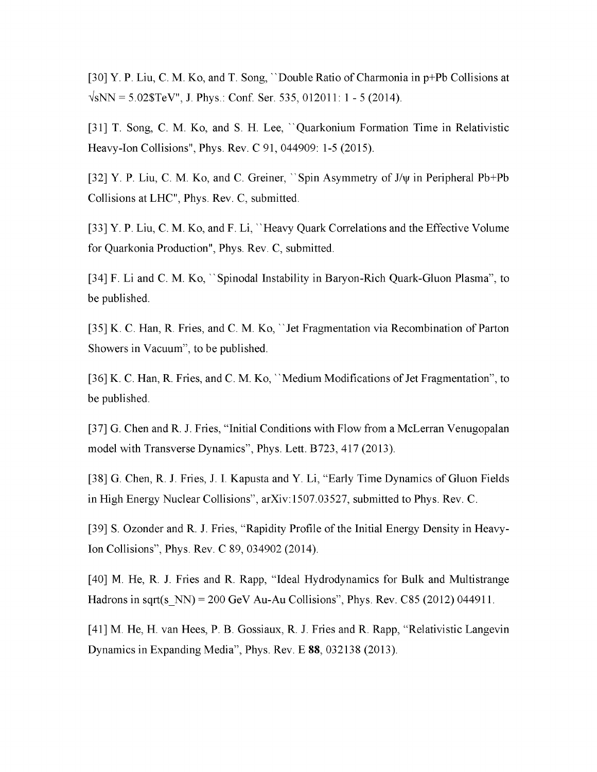[30] Y. P. Liu, C. M. Ko, and T. Song, ''Double Ratio of Charmonia in p+Pb Collisions at  $\sqrt{sNN}$  = 5.02\$TeV", J. Phys.: Conf. Ser. 535, 012011: 1 - 5 (2014).

[31] T. Song, C. M. Ko, and S. H. Lee, ''Quarkonium Formation Time in Relativistic Heavy-Ion Collisions", Phys. Rev. C 91, 044909: 1-5 (2015).

[32] Y. P. Liu, C. M. Ko, and C. Greiner, ''Spin Asymmetry of J/y in Peripheral Pb+Pb Collisions at LHC", Phys. Rev. C, submitted.

[33] Y. P. Liu, C. M. Ko, and F. Li, "Heavy Quark Correlations and the Effective Volume for Quarkonia Production", Phys. Rev. C, submitted.

[34] F. Li and C. M. Ko, '' Spinodal Instability in Baryon-Rich Quark-Gluon Plasma", to be published.

[35] K. C. Han, R. Fries, and C. M. Ko, "Jet Fragmentation via Recombination of Parton Showers in Vacuum", to be published.

[36] K. C. Han, R. Fries, and C. M. Ko,  $\cdot$  Medium Modifications of Jet Fragmentation", to be published.

[37] G. Chen and R. J. Fries, "Initial Conditions with Flow from a McLerran Venugopalan model with Transverse Dynamics", Phys. Lett. B723, 417 (2013).

[38] G. Chen, R. J. Fries, J. I. Kapusta and Y. Li, "Early Time Dynamics of Gluon Fields in High Energy Nuclear Collisions", arXiv:1507.03527, submitted to Phys. Rev. C.

[39] S. Ozonder and R. J. Fries, "Rapidity Profile of the Initial Energy Density in Heavy-Ion Collisions", Phys. Rev. C 89, 034902 (2014).

[40] M. He, R. J. Fries and R. Rapp, "Ideal Hydrodynamics for Bulk and Multistrange Hadrons in sqrt(s  $NN$ ) = 200 GeV Au-Au Collisions", Phys. Rev. C85 (2012) 044911.

[41] M. He, H. van Hees, P. B. Gossiaux, R. J. Fries and R. Rapp, "Relativistic Langevin Dynamics in Expanding Media", Phys. Rev. E **88**, 032138 (2013).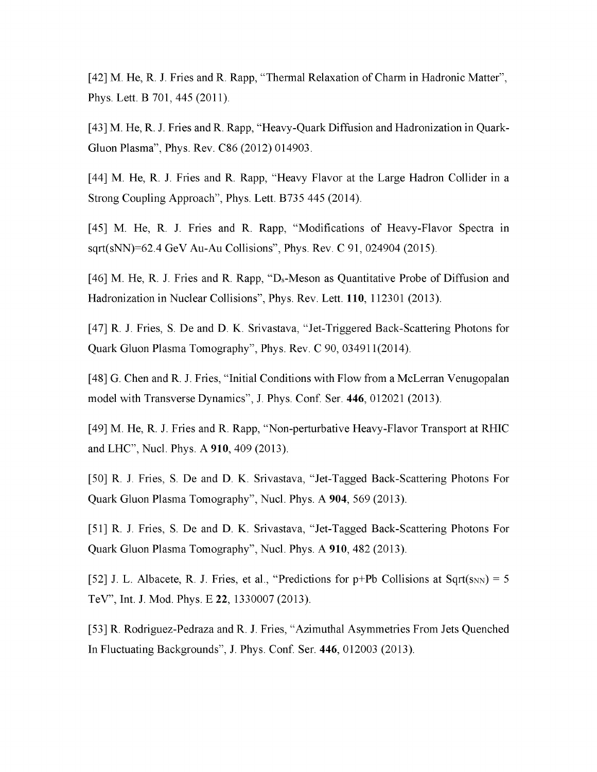[42] M. He, R. J. Fries and R. Rapp, "Thermal Relaxation of Charm in Hadronic Matter", Phys. Lett. B 701, 445 (2011).

[43] M. He, R. J. Fries and R. Rapp, "Heavy-Quark Diffusion and Hadronization in Quark-Gluon Plasma", Phys. Rev. C86 (2012) 014903.

[44] M. He, R. J. Fries and R. Rapp, "Heavy Flavor at the Large Hadron Collider in a Strong Coupling Approach", Phys. Lett. B735 445 (2014).

[45] M. He, R. J. Fries and R. Rapp, "Modifications of Heavy-Flavor Spectra in sqrt(sNN)=62.4 GeV Au-Au Collisions", Phys. Rev. C 91, 024904 (2015).

[46] M. He, R. J. Fries and R. Rapp, "Ds-Meson as Quantitative Probe of Diffusion and Hadronization in Nuclear Collisions", Phys. Rev. Lett. **110**, 112301 (2013).

[47] R. J. Fries, S. De and D. K. Srivastava, "Jet-Triggered Back-Scattering Photons for Quark Gluon Plasma Tomography", Phys. Rev. C 90, 034911(2014).

[48] G. Chen and R. J. Fries, "Initial Conditions with Flow from a McLerran Venugopalan model with Transverse Dynamics", J. Phys. Conf. Ser. **446**, 012021 (2013).

[49] M. He, R. J. Fries and R. Rapp, "Non-perturbative Heavy-Flavor Transport at RHIC and LHC", Nucl. Phys. A **910**, 409 (2013).

[50] R. J. Fries, S. De and D. K. Srivastava, "Jet-Tagged Back-Scattering Photons For Quark Gluon Plasma Tomography", Nucl. Phys. A **904**, 569 (2013).

[51] R. J. Fries, S. De and D. K. Srivastava, "Jet-Tagged Back-Scattering Photons For Quark Gluon Plasma Tomography", Nucl. Phys. A **910**, 482 (2013).

[52] J. L. Albacete, R. J. Fries, et al., "Predictions for  $p+Pb$  Collisions at Sqrt( $s_{NN}$ ) = 5 TeV", Int. J. Mod. Phys. E **22**, 1330007 (2013).

[53] R. Rodriguez-Pedraza and R. J. Fries, "Azimuthal Asymmetries From Jets Quenched In Fluctuating Backgrounds", J. Phys. Conf. Ser. **446**, 012003 (2013).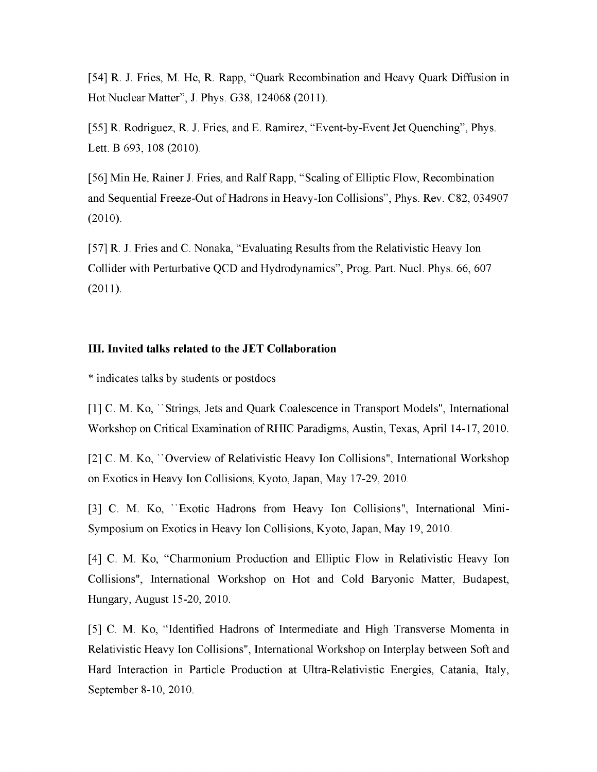[54] R. J. Fries, M. He, R. Rapp, "Quark Recombination and Heavy Quark Diffusion in Hot Nuclear Matter", J. Phys. G38, 124068 (2011).

[55] R. Rodriguez, R. J. Fries, and E. Ramirez, "Event-by-Event Jet Quenching", Phys. Lett. B 693, 108 (2010).

[56] Min He, Rainer J. Fries, and Ralf Rapp, "Scaling of Elliptic Flow, Recombination and Sequential Freeze-Out of Hadrons in Heavy-Ion Collisions", Phys. Rev. C82, 034907 (2010).

[57] R. J. Fries and C. Nonaka, "Evaluating Results from the Relativistic Heavy Ion Collider with Perturbative QCD and Hydrodynamics", Prog. Part. Nucl. Phys. 66, 607 (2011).

# **III. Invited talks related to the JET Collaboration**

\* indicates talks by students or postdocs

[1] C. M. Ko, "Strings, Jets and Quark Coalescence in Transport Models", International Workshop on Critical Examination ofRHIC Paradigms, Austin, Texas, April 14-17, 2010.

[2] C. M. Ko, ''Overview of Relativistic Heavy Ion Collisions", International Workshop on Exotics in Heavy Ion Collisions, Kyoto, Japan, May 17-29, 2010.

[3] C. M. Ko, ''Exotic Hadrons from Heavy Ion Collisions", International Mini-Symposium on Exotics in Heavy Ion Collisions, Kyoto, Japan, May 19, 2010.

[4] C. M. Ko, "Charmonium Production and Elliptic Flow in Relativistic Heavy Ion Collisions", International Workshop on Hot and Cold Baryonic Matter, Budapest, Hungary, August 15-20, 2010.

[5] C. M. Ko, "Identified Hadrons of Intermediate and High Transverse Momenta in Relativistic Heavy Ion Collisions", International Workshop on Interplay between Soft and Hard Interaction in Particle Production at Ultra-Relativistic Energies, Catania, Italy, September 8-10, 2010.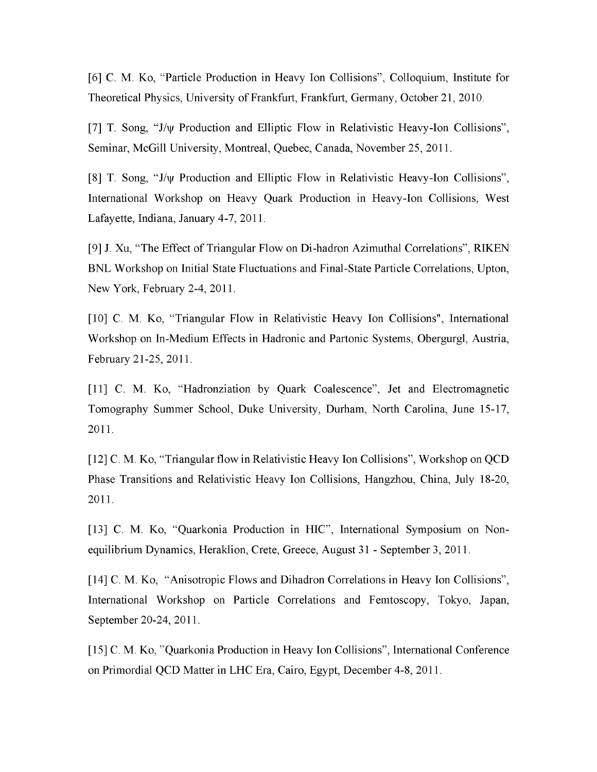[6] C. M. Ko, "Particle Production in Heavy Ion Collisions", Colloquium, Institute for Theoretical Physics, University of Frankfurt, Frankfurt, Germany, October 21, 2010.

[7] T. Song, "J/y Production and Elliptic Flow in Relativistic Heavy-Ion Collisions", Seminar, McGill University, Montreal, Quebec, Canada, November 25, 2011.

[8] T. Song, "J/y Production and Elliptic Flow in Relativistic Heavy-Ion Collisions", International Workshop on Heavy Quark Production in Heavy-Ion Collisions, West Lafayette, Indiana, January 4-7, 2011.

[9] J. Xu, "The Effect of Triangular Flow on Di-hadron Azimuthal Correlations", RIKEN BNL Workshop on Initial State Fluctuations and Final-State Particle Correlations, Upton, New York, February 2-4, 2011.

[10] C. M. Ko, "Triangular Flow in Relativistic Heavy Ion Collisions", International Workshop on In-Medium Effects in Hadronic and Partonic Systems, Obergurgl, Austria, February 21-25, 2011.

[11] C. M. Ko, "Hadronziation by Quark Coalescence", Jet and Electromagnetic Tomography Summer School, Duke University, Durham, North Carolina, June 15-17, 2011.

[12] C. M. Ko, "Triangular flow in Relativistic Heavy Ion Collisions", Workshop on QCD Phase Transitions and Relativistic Heavy Ion Collisions, Hangzhou, China, July 18-20, 2011.

[13] C. M. Ko, "Quarkonia Production in HIC", International Symposium on Nonequilibrium Dynamics, Heraklion, Crete, Greece, August 31 - September 3, 2011.

[14] C. M. Ko, "Anisotropic Flows and Dihadron Correlations in Heavy Ion Collisions", International Workshop on Particle Correlations and Femtoscopy, Tokyo, Japan, September 20-24, 2011.

[15] C. M. Ko, "Quarkonia Production in Heavy Ion Collisions", International Conference on Primordial QCD Matter in LHC Era, Cairo, Egypt, December 4-8, 2011.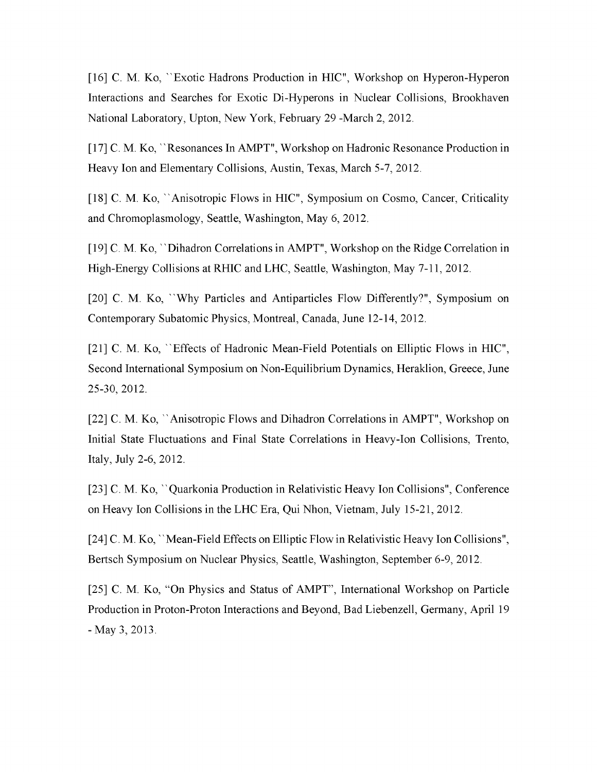[16] C. M. Ko, "Exotic Hadrons Production in HIC", Workshop on Hyperon-Hyperon Interactions and Searches for Exotic Di-Hyperons in Nuclear Collisions, Brookhaven National Laboratory, Upton, New York, February 29 -March 2, 2012.

[17] C. M. Ko, ''Resonances In AMPT", Workshop on Hadronic Resonance Production in Heavy Ion and Elementary Collisions, Austin, Texas, March 5-7, 2012.

[18] C. M. Ko, ''Anisotropic Flows in HIC", Symposium on Cosmo, Cancer, Criticality and Chromoplasmology, Seattle, Washington, May 6, 2012.

[19] C. M. Ko, "Dihadron Correlations in AMPT", Workshop on the Ridge Correlation in High-Energy Collisions at RHIC and LHC, Seattle, Washington, May 7-11, 2012.

[20] C. M. Ko, ''Why Particles and Antiparticles Flow Differently?", Symposium on Contemporary Subatomic Physics, Montreal, Canada, June 12-14, 2012.

[21] C. M. Ko, "Effects of Hadronic Mean-Field Potentials on Elliptic Flows in HIC", Second International Symposium on Non-Equilibrium Dynamics, Heraklion, Greece, June 25-30, 2012.

[22] C. M. Ko, ''Anisotropic Flows and Dihadron Correlations in AMPT", Workshop on Initial State Fluctuations and Final State Correlations in Heavy-Ion Collisions, Trento, Italy, July 2-6, 2012.

[23] C. M. Ko, ''Quarkonia Production in Relativistic Heavy Ion Collisions", Conference on Heavy Ion Collisions in the LHC Era, Qui Nhon, Vietnam, July 15-21, 2012.

[24] C. M. Ko, ''Mean-Field Effects on Elliptic Flow in Relativistic Heavy Ion Collisions", Bertsch Symposium on Nuclear Physics, Seattle, Washington, September 6-9, 2012.

[25] C. M. Ko, "On Physics and Status of AMPT", International Workshop on Particle Production in Proton-Proton Interactions and Beyond, Bad Liebenzell, Germany, April 19 - May 3, 2013.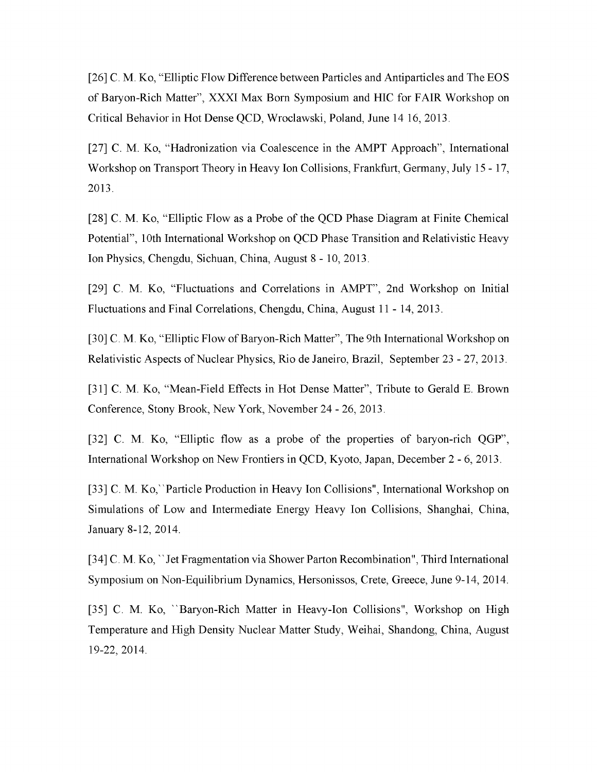[26] C. M. Ko, "Elliptic Flow Difference between Particles and Antiparticles and The EOS of Baryon-Rich Matter", XXXI Max Born Symposium and HIC for FAIR Workshop on Critical Behavior in Hot Dense QCD, Wroclawski, Poland, June 14 16, 2013.

[27] C. M. Ko, "Hadronization via Coalescence in the AMPT Approach", International Workshop on Transport Theory in Heavy Ion Collisions, Frankfurt, Germany, July 15 - 17, 2013.

[28] C. M. Ko, "Elliptic Flow as a Probe of the QCD Phase Diagram at Finite Chemical Potential", 10th International Workshop on QCD Phase Transition and Relativistic Heavy Ion Physics, Chengdu, Sichuan, China, August 8 - 10, 2013.

[29] C. M. Ko, "Fluctuations and Correlations in AMPT", 2nd Workshop on Initial Fluctuations and Final Correlations, Chengdu, China, August 11 - 14, 2013.

[30] C. M. Ko, "Elliptic Flow of Baryon-Rich Matter", The 9th International Workshop on Relativistic Aspects of Nuclear Physics, Rio de Janeiro, Brazil, September 23 - 27, 2013.

[31] C. M. Ko, "Mean-Field Effects in Hot Dense Matter", Tribute to Gerald E. Brown Conference, Stony Brook, New York, November 24 - 26, 2013.

[32] C. M. Ko, "Elliptic flow as a probe of the properties of baryon-rich QGP", International Workshop on New Frontiers in QCD, Kyoto, Japan, December 2 - 6, 2013.

[33] C. M. Ko, ''Particle Production in Heavy Ion Collisions'', International Workshop on Simulations of Low and Intermediate Energy Heavy Ion Collisions, Shanghai, China, January 8-12, 2014.

[34] C. M. Ko, ''Jet Fragmentation via Shower Parton Recombination", Third International Symposium on Non-Equilibrium Dynamics, Hersonissos, Crete, Greece, June 9-14, 2014.

[35] C. M. Ko, "Baryon-Rich Matter in Heavy-Ion Collisions", Workshop on High Temperature and High Density Nuclear Matter Study, Weihai, Shandong, China, August 19-22, 2014.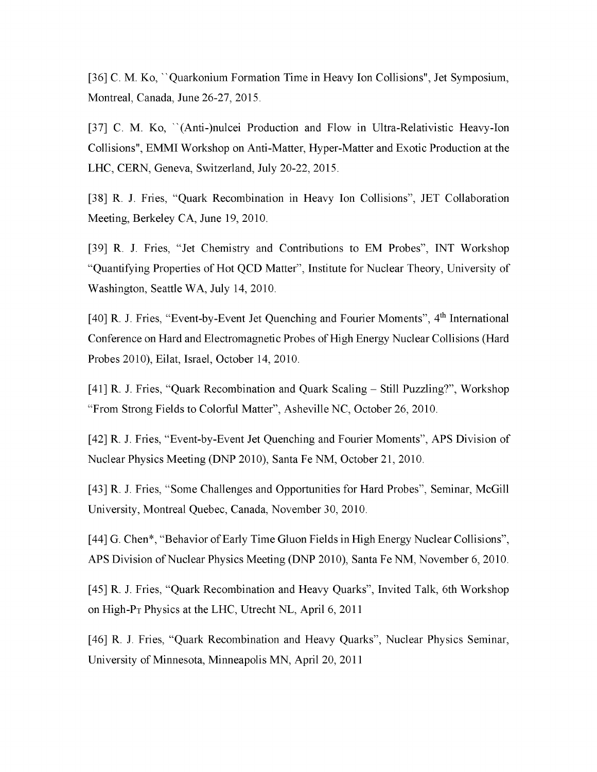[36] C. M. Ko, ''Quarkonium Formation Time in Heavy Ion Collisions", Jet Symposium, Montreal, Canada, June 26-27, 2015.

[37] C. M. Ko, "(Anti-)nulcei Production and Flow in Ultra-Relativistic Heavy-Ion Collisions", EMMI Workshop on Anti-Matter, Hyper-Matter and Exotic Production at the LHC, CERN, Geneva, Switzerland, July 20-22, 2015.

[38] R. J. Fries, "Quark Recombination in Heavy Ion Collisions", JET Collaboration Meeting, Berkeley CA, June 19, 2010.

[39] R. J. Fries, "Jet Chemistry and Contributions to EM Probes", INT Workshop "Quantifying Properties of Hot QCD Matter", Institute for Nuclear Theory, University of Washington, Seattle WA, July 14, 2010.

[40] R. J. Fries, "Event-by-Event Jet Quenching and Fourier Moments", 4<sup>th</sup> International Conference on Hard and Electromagnetic Probes of High Energy Nuclear Collisions (Hard Probes 2010), Eilat, Israel, October 14, 2010.

[41] R. J. Fries, "Quark Recombination and Quark Scaling - Still Puzzling?", Workshop "From Strong Fields to Colorful Matter", Asheville NC, October 26, 2010.

[42] R. J. Fries, "Event-by-Event Jet Quenching and Fourier Moments", APS Division of Nuclear Physics Meeting (DNP 2010), Santa Fe NM, October 21, 2010.

[43] R. J. Fries, "Some Challenges and Opportunities for Hard Probes", Seminar, McGill University, Montreal Quebec, Canada, November 30, 2010.

[44] G. Chen\*, "Behavior of Early Time Gluon Fields in High Energy Nuclear Collisions", APS Division of Nuclear Physics Meeting (DNP 2010), Santa Fe NM, November 6, 2010.

[45] R. J. Fries, "Quark Recombination and Heavy Quarks", Invited Talk, 6th Workshop on High- $P_T$  Physics at the LHC, Utrecht NL, April 6, 2011

[46] R. J. Fries, "Quark Recombination and Heavy Quarks", Nuclear Physics Seminar, University of Minnesota, Minneapolis MN, April 20, 2011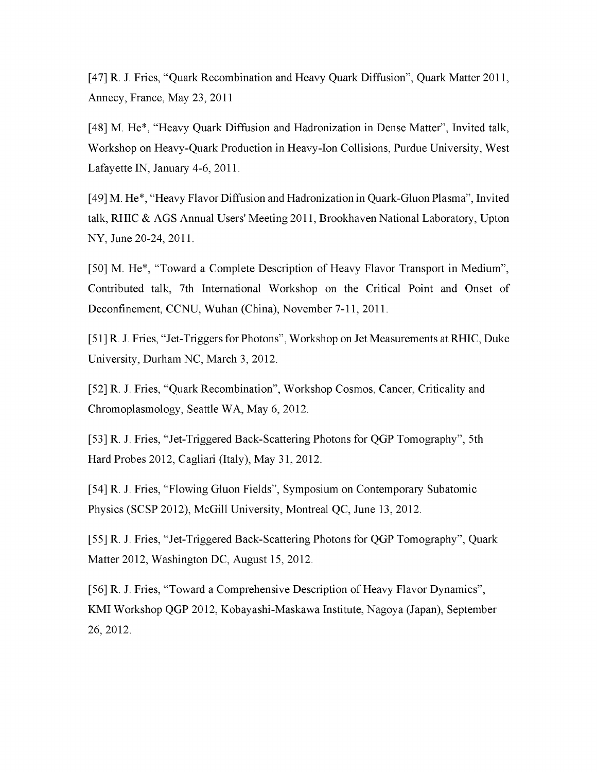[47] R. J. Fries, "Quark Recombination and Heavy Quark Diffusion", Quark Matter 2011, Annecy, France, May 23, 2011

[48] M. He\*, "Heavy Quark Diffusion and Hadronization in Dense Matter", Invited talk, Workshop on Heavy-Quark Production in Heavy-Ion Collisions, Purdue University, West Lafayette IN, January 4-6, 2011.

[49] M. He\*, "Heavy Flavor Diffusion and Hadronization in Quark-Gluon Plasma", Invited talk, RHIC & AGS Annual Users' Meeting 2011, Brookhaven National Laboratory, Upton NY, June 20-24, 2011.

[50] M. He\*, "Toward a Complete Description of Heavy Flavor Transport in Medium", Contributed talk, 7th International Workshop on the Critical Point and Onset of Deconfinement, CCNU, Wuhan (China), November 7-11, 2011.

[51] R. J. Fries, "Jet-Triggers for Photons", Workshop on Jet Measurements at RHIC, Duke University, Durham NC, March 3, 2012.

[52] R. J. Fries, "Quark Recombination", Workshop Cosmos, Cancer, Criticality and Chromoplasmology, Seattle WA, May 6, 2012.

[53] R. J. Fries, "Jet-Triggered Back-Scattering Photons for QGP Tomography", 5th Hard Probes 2012, Cagliari (Italy), May 31, 2012.

[54] R. J. Fries, "Flowing Gluon Fields", Symposium on Contemporary Subatomic Physics (SCSP 2012), McGill University, Montreal QC, June 13, 2012.

[55] R. J. Fries, "Jet-Triggered Back-Scattering Photons for QGP Tomography", Quark Matter 2012, Washington DC, August 15, 2012.

[56] R. J. Fries, "Toward a Comprehensive Description of Heavy Flavor Dynamics", KMI Workshop QGP 2012, Kobayashi-Maskawa Institute, Nagoya (Japan), September 26, 2012.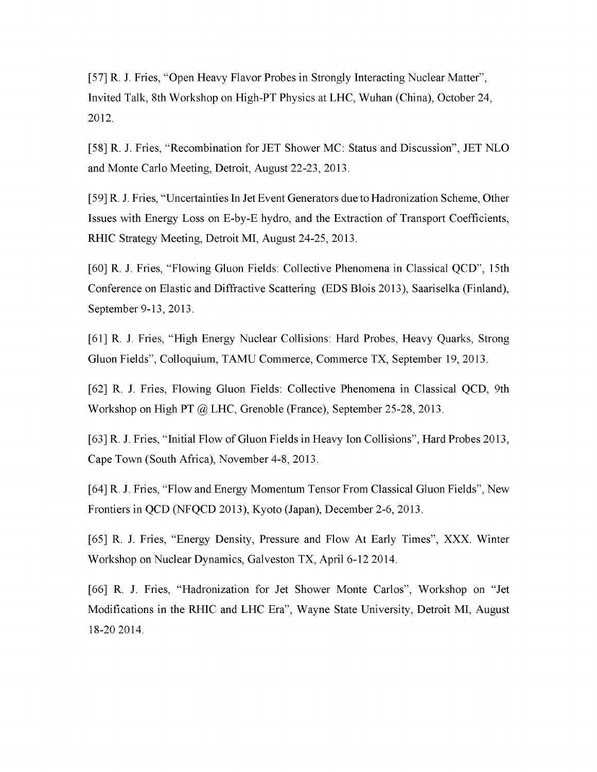[57] R. J. Fries, "Open Heavy Flavor Probes in Strongly Interacting Nuclear Matter", Invited Talk, 8th Workshop on High-PT Physics at LHC, Wuhan (China), October 24, 2012.

[58] R. J. Fries, "Recombination for JET Shower MC: Status and Discussion", JET NLO and Monte Carlo Meeting, Detroit, August 22-23, 2013.

[59] R. J. Fries, "Uncertainties In Jet Event Generators due to Hadronization Scheme, Other Issues with Energy Loss on E-by-E hydro, and the Extraction of Transport Coefficients, RHIC Strategy Meeting, Detroit MI, August 24-25, 2013.

[60] R. J. Fries, "Flowing Gluon Fields: Collective Phenomena in Classical QCD", 15th Conference on Elastic and Diffractive Scattering (EDS Blois 2013), Saariselka (Finland), September 9-13, 2013.

[61] R. J. Fries, "High Energy Nuclear Collisions: Hard Probes, Heavy Quarks, Strong Gluon Fields", Colloquium, TAMU Commerce, Commerce TX, September 19, 2013.

[62] R. J. Fries, Flowing Gluon Fields: Collective Phenomena in Classical QCD, 9th Workshop on High PT @ LHC, Grenoble (France), September 25-28, 2013.

[63] R. J. Fries, "Initial Flow of Gluon Fields in Heavy Ion Collisions", Hard Probes 2013, Cape Town (South Africa), November 4-8, 2013.

[64] R. J. Fries, "Flow and Energy Momentum Tensor From Classical Gluon Fields", New Frontiers in QCD (NFQCD 2013), Kyoto (Japan), December 2-6, 2013.

[65] R. J. Fries, "Energy Density, Pressure and Flow At Early Times", XXX. Winter Workshop on Nuclear Dynamics, Galveston TX, April 6-12 2014.

[66] R. J. Fries, "Hadronization for Jet Shower Monte Carlos", Workshop on "Jet Modifications in the RHIC and LHC Era", Wayne State University, Detroit MI, August 18-20 2014.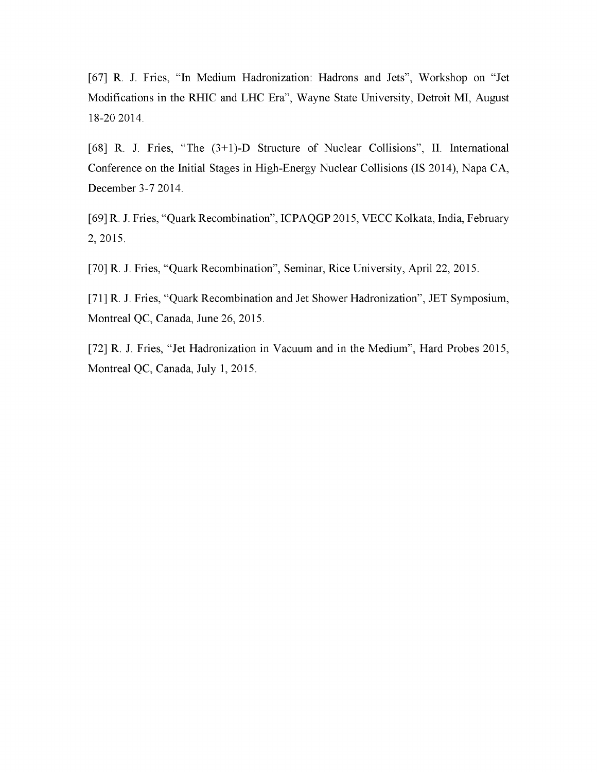[67] R. J. Fries, "In Medium Hadronization: Hadrons and Jets", Workshop on "Jet Modifications in the RHIC and LHC Era", Wayne State University, Detroit MI, August 18-20 2014.

[68] R. J. Fries, "The (3+1)-D Structure of Nuclear Collisions", II. International Conference on the Initial Stages in High-Energy Nuclear Collisions (IS 2014), Napa CA, December 3-7 2014.

[69] R. J. Fries, "Quark Recombination", ICPAQGP 2015, VECC Kolkata, India, February 2, 2015.

[70] R. J. Fries, "Quark Recombination", Seminar, Rice University, April 22, 2015.

[71] R. J. Fries, "Quark Recombination and Jet Shower Hadronization", JET Symposium, Montreal QC, Canada, June 26, 2015.

[72] R. J. Fries, "Jet Hadronization in Vacuum and in the Medium", Hard Probes 2015, Montreal QC, Canada, July 1, 2015.